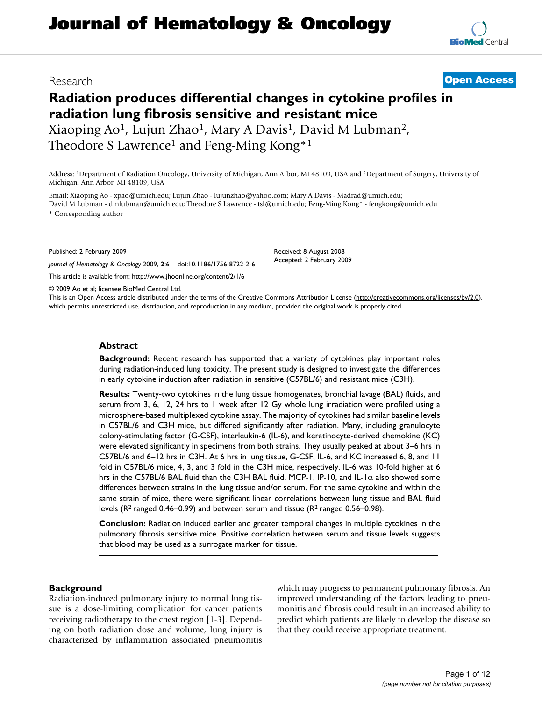# **Radiation produces differential changes in cytokine profiles in radiation lung fibrosis sensitive and resistant mice** Xiaoping Ao1, Lujun Zhao1, Mary A Davis1, David M Lubman2,

Theodore S Lawrence<sup>1</sup> and Feng-Ming Kong<sup>\*1</sup>

Address: 1Department of Radiation Oncology, University of Michigan, Ann Arbor, MI 48109, USA and 2Department of Surgery, University of Michigan, Ann Arbor, MI 48109, USA

Email: Xiaoping Ao - xpao@umich.edu; Lujun Zhao - lujunzhao@yahoo.com; Mary A Davis - Madrad@umich.edu; David M Lubman - dmlubman@umich.edu; Theodore S Lawrence - tsl@umich.edu; Feng-Ming Kong\* - fengkong@umich.edu \* Corresponding author

Published: 2 February 2009

*Journal of Hematology & Oncology* 2009, **2**:6 doi:10.1186/1756-8722-2-6

[This article is available from: http://www.jhoonline.org/content/2/1/6](http://www.jhoonline.org/content/2/1/6)

© 2009 Ao et al; licensee BioMed Central Ltd.

This is an Open Access article distributed under the terms of the Creative Commons Attribution License [\(http://creativecommons.org/licenses/by/2.0\)](http://creativecommons.org/licenses/by/2.0), which permits unrestricted use, distribution, and reproduction in any medium, provided the original work is properly cited.

Received: 8 August 2008 Accepted: 2 February 2009

#### **Abstract**

**Background:** Recent research has supported that a variety of cytokines play important roles during radiation-induced lung toxicity. The present study is designed to investigate the differences in early cytokine induction after radiation in sensitive (C57BL/6) and resistant mice (C3H).

**Results:** Twenty-two cytokines in the lung tissue homogenates, bronchial lavage (BAL) fluids, and serum from 3, 6, 12, 24 hrs to 1 week after 12 Gy whole lung irradiation were profiled using a microsphere-based multiplexed cytokine assay. The majority of cytokines had similar baseline levels in C57BL/6 and C3H mice, but differed significantly after radiation. Many, including granulocyte colony-stimulating factor (G-CSF), interleukin-6 (IL-6), and keratinocyte-derived chemokine (KC) were elevated significantly in specimens from both strains. They usually peaked at about 3–6 hrs in C57BL/6 and 6–12 hrs in C3H. At 6 hrs in lung tissue, G-CSF, IL-6, and KC increased 6, 8, and 11 fold in C57BL/6 mice, 4, 3, and 3 fold in the C3H mice, respectively. IL-6 was 10-fold higher at 6 hrs in the C57BL/6 BAL fluid than the C3H BAL fluid. MCP-1, IP-10, and IL-1 $\alpha$  also showed some differences between strains in the lung tissue and/or serum. For the same cytokine and within the same strain of mice, there were significant linear correlations between lung tissue and BAL fluid levels ( $R^2$  ranged 0.46–0.99) and between serum and tissue ( $R^2$  ranged 0.56–0.98).

**Conclusion:** Radiation induced earlier and greater temporal changes in multiple cytokines in the pulmonary fibrosis sensitive mice. Positive correlation between serum and tissue levels suggests that blood may be used as a surrogate marker for tissue.

#### **Background**

Radiation-induced pulmonary injury to normal lung tissue is a dose-limiting complication for cancer patients receiving radiotherapy to the chest region [[1](#page-10-0)[-3\]](#page-10-1). Depending on both radiation dose and volume, lung injury is characterized by inflammation associated pneumonitis which may progress to permanent pulmonary fibrosis. An improved understanding of the factors leading to pneumonitis and fibrosis could result in an increased ability to predict which patients are likely to develop the disease so that they could receive appropriate treatment.

## Research **[Open Access](http://www.biomedcentral.com/info/about/charter/)**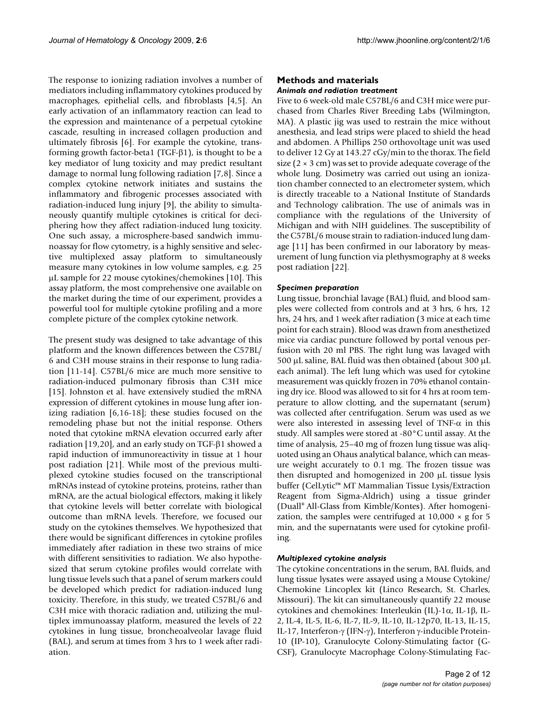The response to ionizing radiation involves a number of mediators including inflammatory cytokines produced by macrophages, epithelial cells, and fibroblasts [\[4,](#page-11-0)[5\]](#page-11-1). An early activation of an inflammatory reaction can lead to the expression and maintenance of a perpetual cytokine cascade, resulting in increased collagen production and ultimately fibrosis [\[6\]](#page-11-2). For example the cytokine, transforming growth factor-beta1 (TGF-β1), is thought to be a key mediator of lung toxicity and may predict resultant damage to normal lung following radiation [[7](#page-11-3),[8](#page-11-4)]. Since a complex cytokine network initiates and sustains the inflammatory and fibrogenic processes associated with radiation-induced lung injury [\[9\]](#page-11-5), the ability to simultaneously quantify multiple cytokines is critical for deciphering how they affect radiation-induced lung toxicity. One such assay, a microsphere-based sandwich immunoassay for flow cytometry, is a highly sensitive and selective multiplexed assay platform to simultaneously measure many cytokines in low volume samples, e.g. 25 μL sample for 22 mouse cytokines/chemokines [\[10\]](#page-11-6). This assay platform, the most comprehensive one available on the market during the time of our experiment, provides a powerful tool for multiple cytokine profiling and a more complete picture of the complex cytokine network.

The present study was designed to take advantage of this platform and the known differences between the C57BL/ 6 and C3H mouse strains in their response to lung radiation [\[11](#page-11-7)[-14](#page-11-8)]. C57BL/6 mice are much more sensitive to radiation-induced pulmonary fibrosis than C3H mice [[15](#page-11-9)]. Johnston et al. have extensively studied the mRNA expression of different cytokines in mouse lung after ionizing radiation [[6](#page-11-2),[16-](#page-11-10)[18\]](#page-11-11); these studies focused on the remodeling phase but not the initial response. Others noted that cytokine mRNA elevation occurred early after radiation [\[19](#page-11-12),[20](#page-11-13)], and an early study on TGF-β1 showed a rapid induction of immunoreactivity in tissue at 1 hour post radiation [[21](#page-11-14)]. While most of the previous multiplexed cytokine studies focused on the transcriptional mRNAs instead of cytokine proteins, proteins, rather than mRNA, are the actual biological effectors, making it likely that cytokine levels will better correlate with biological outcome than mRNA levels. Therefore, we focused our study on the cytokines themselves. We hypothesized that there would be significant differences in cytokine profiles immediately after radiation in these two strains of mice with different sensitivities to radiation. We also hypothesized that serum cytokine profiles would correlate with lung tissue levels such that a panel of serum markers could be developed which predict for radiation-induced lung toxicity. Therefore, in this study, we treated C57BL/6 and C3H mice with thoracic radiation and, utilizing the multiplex immunoassay platform, measured the levels of 22 cytokines in lung tissue, broncheoalveolar lavage fluid (BAL), and serum at times from 3 hrs to 1 week after radiation.

#### **Methods and materials** *Animals and radiation treatment*

Five to 6 week-old male C57BL/6 and C3H mice were purchased from Charles River Breeding Labs (Wilmington, MA). A plastic jig was used to restrain the mice without anesthesia, and lead strips were placed to shield the head and abdomen. A Phillips 250 orthovoltage unit was used to deliver 12 Gy at 143.27 cGy/min to the thorax. The field size  $(2 \times 3$  cm) was set to provide adequate coverage of the whole lung. Dosimetry was carried out using an ionization chamber connected to an electrometer system, which is directly traceable to a National Institute of Standards and Technology calibration. The use of animals was in compliance with the regulations of the University of Michigan and with NIH guidelines. The susceptibility of the C57BL/6 mouse strain to radiation-induced lung damage [[11](#page-11-7)] has been confirmed in our laboratory by measurement of lung function via plethysmography at 8 weeks post radiation [\[22\]](#page-11-15).

#### *Specimen preparation*

Lung tissue, bronchial lavage (BAL) fluid, and blood samples were collected from controls and at 3 hrs, 6 hrs, 12 hrs, 24 hrs, and 1 week after radiation (3 mice at each time point for each strain). Blood was drawn from anesthetized mice via cardiac puncture followed by portal venous perfusion with 20 ml PBS. The right lung was lavaged with 500 μL saline, BAL fluid was then obtained (about 300 μL each animal). The left lung which was used for cytokine measurement was quickly frozen in 70% ethanol containing dry ice. Blood was allowed to sit for 4 hrs at room temperature to allow clotting, and the supernatant (serum) was collected after centrifugation. Serum was used as we were also interested in assessing level of TNF- $\alpha$  in this study. All samples were stored at -80°C until assay. At the time of analysis, 25–40 mg of frozen lung tissue was aliquoted using an Ohaus analytical balance, which can measure weight accurately to 0.1 mg. The frozen tissue was then disrupted and homogenized in 200 μL tissue lysis buffer (CelLytic™ MT Mammalian Tissue Lysis/Extraction Reagent from Sigma-Aldrich) using a tissue grinder (Duall® All-Glass from Kimble/Kontes). After homogenization, the samples were centrifuged at  $10,000 \times g$  for 5 min, and the supernatants were used for cytokine profiling.

#### *Multiplexed cytokine analysis*

The cytokine concentrations in the serum, BAL fluids, and lung tissue lysates were assayed using a Mouse Cytokine/ Chemokine Lincoplex kit (Linco Research, St. Charles, Missouri). The kit can simultaneously quantify 22 mouse cytokines and chemokines: Interleukin (IL)-1α, IL-1β, IL-2, IL-4, IL-5, IL-6, IL-7, IL-9, IL-10, IL-12p70, IL-13, IL-15, IL-17, Interferon-γ (IFN-γ), Interferon γ-inducible Protein-10 (IP-10), Granulocyte Colony-Stimulating factor (G-CSF), Granulocyte Macrophage Colony-Stimulating Fac-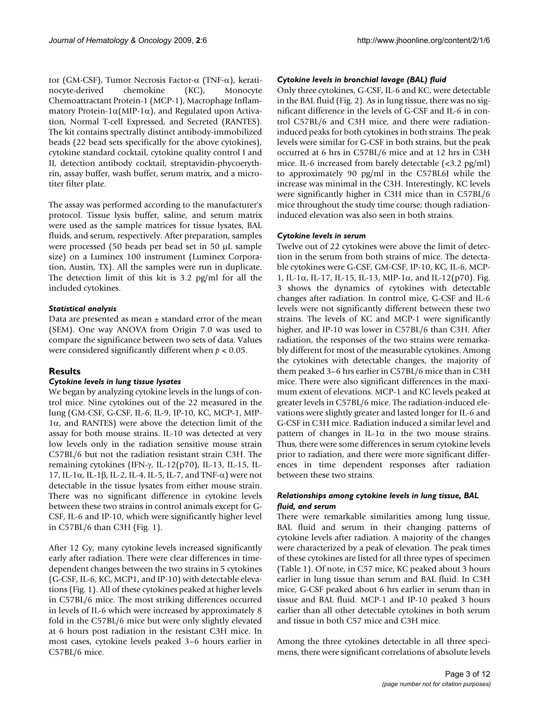tor (GM-CSF), Tumor Necrosis Factor-α (TNF-α), keratinocyte-derived chemokine (KC), Monocyte Chemoattractant Protein-1 (MCP-1), Macrophage Inflammatory Protein-1 $\alpha$ (MIP-1 $\alpha$ ), and Regulated upon Activation, Normal T-cell Expressed, and Secreted (RANTES). The kit contains spectrally distinct antibody-immobilized beads (22 bead sets specifically for the above cytokines), cytokine standard cocktail, cytokine quality control I and II, detection antibody cocktail, streptavidin-phycoerythrin, assay buffer, wash buffer, serum matrix, and a microtiter filter plate.

The assay was performed according to the manufacturer's protocol. Tissue lysis buffer, saline, and serum matrix were used as the sample matrices for tissue lysates, BAL fluids, and serum, respectively. After preparation, samples were processed (50 beads per bead set in 50 μL sample size) on a Luminex 100 instrument (Luminex Corporation, Austin, TX). All the samples were run in duplicate. The detection limit of this kit is 3.2 pg/ml for all the included cytokines.

#### *Statistical analysis*

Data are presented as mean  $\pm$  standard error of the mean (SEM). One way ANOVA from Origin 7.0 was used to compare the significance between two sets of data. Values were considered significantly different when *p* < 0.05.

### **Results**

#### *Cytokine levels in lung tissue lysates*

We began by analyzing cytokine levels in the lungs of control mice. Nine cytokines out of the 22 measured in the lung (GM-CSF, G-CSF, IL-6, IL-9, IP-10, KC, MCP-1, MIP-1α, and RANTES) were above the detection limit of the assay for both mouse strains. IL-10 was detected at very low levels only in the radiation sensitive mouse strain C57BL/6 but not the radiation resistant strain C3H. The remaining cytokines (IFN-γ, IL-12(p70), IL-13, IL-15, IL-17, IL-1 $\alpha$ , IL-1 $\beta$ , IL-2, IL-4, IL-5, IL-7, and TNF- $\alpha$ ) were not detectable in the tissue lysates from either mouse strain. There was no significant difference in cytokine levels between these two strains in control animals except for G-CSF, IL-6 and IP-10, which were significantly higher level in C57BL/6 than C3H (Fig. [1](#page-3-0)).

After 12 Gy, many cytokine levels increased significantly early after radiation. There were clear differences in timedependent changes between the two strains in 5 cytokines (G-CSF, IL-6, KC, MCP1, and IP-10) with detectable elevations (Fig. [1](#page-3-0)). All of these cytokines peaked at higher levels in C57BL/6 mice. The most striking differences occurred in levels of IL-6 which were increased by approximately 8 fold in the C57BL/6 mice but were only slightly elevated at 6 hours post radiation in the resistant C3H mice. In most cases, cytokine levels peaked 3–6 hours earlier in C57BL/6 mice.

#### *Cytokine levels in bronchial lavage (BAL) fluid*

Only three cytokines, G-CSF, IL-6 and KC, were detectable in the BAL fluid (Fig. [2\)](#page-4-0). As in lung tissue, there was no significant difference in the levels of G-CSF and IL-6 in control C57BL/6 and C3H mice, and there were radiationinduced peaks for both cytokines in both strains. The peak levels were similar for G-CSF in both strains, but the peak occurred at 6 hrs in C57BL/6 mice and at 12 hrs in C3H mice. IL-6 increased from barely detectable (<3.2 pg/ml) to approximately 90 pg/ml in the C57BL6J while the increase was minimal in the C3H. Interestingly, KC levels were significantly higher in C3H mice than in C57BL/6 mice throughout the study time course; though radiationinduced elevation was also seen in both strains.

#### *Cytokine levels in serum*

Twelve out of 22 cytokines were above the limit of detection in the serum from both strains of mice. The detectable cytokines were G-CSF, GM-CSF, IP-10, KC, IL-6, MCP-1, IL-1α, IL-17, IL-15, IL-13, MIP-1α, and IL-12(p70). Fig. [3](#page-5-0) shows the dynamics of cytokines with detectable changes after radiation. In control mice, G-CSF and IL-6 levels were not significantly different between these two strains. The levels of KC and MCP-1 were significantly higher, and IP-10 was lower in C57BL/6 than C3H. After radiation, the responses of the two strains were remarkably different for most of the measurable cytokines. Among the cytokines with detectable changes, the majority of them peaked 3–6 hrs earlier in C57BL/6 mice than in C3H mice. There were also significant differences in the maximum extent of elevations. MCP-1 and KC levels peaked at greater levels in C57BL/6 mice. The radiation-induced elevations were slightly greater and lasted longer for IL-6 and G-CSF in C3H mice. Radiation induced a similar level and pattern of changes in IL-1α in the two mouse strains. Thus, there were some differences in serum cytokine levels prior to radiation, and there were more significant differences in time dependent responses after radiation between these two strains.

#### *Relationships among cytokine levels in lung tissue, BAL fluid, and serum*

There were remarkable similarities among lung tissue, BAL fluid and serum in their changing patterns of cytokine levels after radiation. A majority of the changes were characterized by a peak of elevation. The peak times of these cytokines are listed for all three types of specimen (Table [1\)](#page-6-0). Of note, in C57 mice, KC peaked about 3 hours earlier in lung tissue than serum and BAL fluid. In C3H mice, G-CSF peaked about 6 hrs earlier in serum than in tissue and BAL fluid. MCP-1 and IP-10 peaked 3 hours earlier than all other detectable cytokines in both serum and tissue in both C57 mice and C3H mice.

Among the three cytokines detectable in all three specimens, there were significant correlations of absolute levels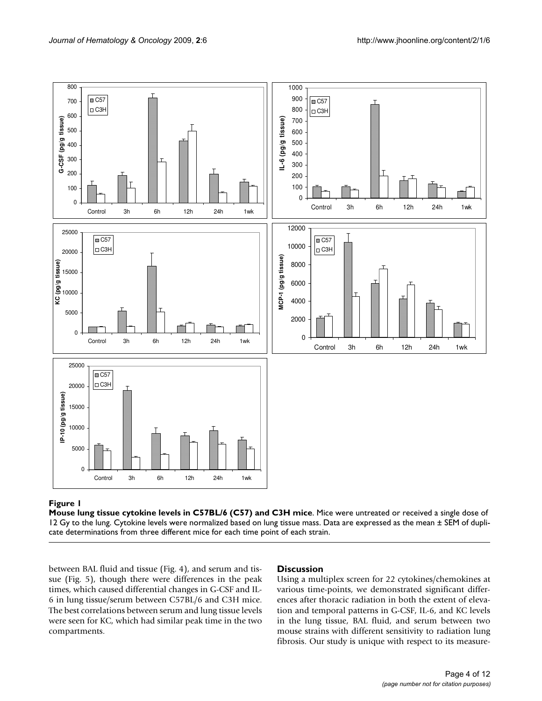<span id="page-3-0"></span>

**Mouse lung tissue cytokine levels in C57BL/6 (C57) and C3H mice**. Mice were untreated or received a single dose of 12 Gy to the lung. Cytokine levels were normalized based on lung tissue mass. Data are expressed as the mean  $\pm$  SEM of duplicate determinations from three different mice for each time point of each strain.

between BAL fluid and tissue (Fig. [4\)](#page-7-0), and serum and tissue (Fig. [5\)](#page-8-0), though there were differences in the peak times, which caused differential changes in G-CSF and IL-6 in lung tissue/serum between C57BL/6 and C3H mice. The best correlations between serum and lung tissue levels were seen for KC, which had similar peak time in the two compartments.

#### **Discussion**

Using a multiplex screen for 22 cytokines/chemokines at various time-points, we demonstrated significant differences after thoracic radiation in both the extent of elevation and temporal patterns in G-CSF, IL-6, and KC levels in the lung tissue, BAL fluid, and serum between two mouse strains with different sensitivity to radiation lung fibrosis. Our study is unique with respect to its measure-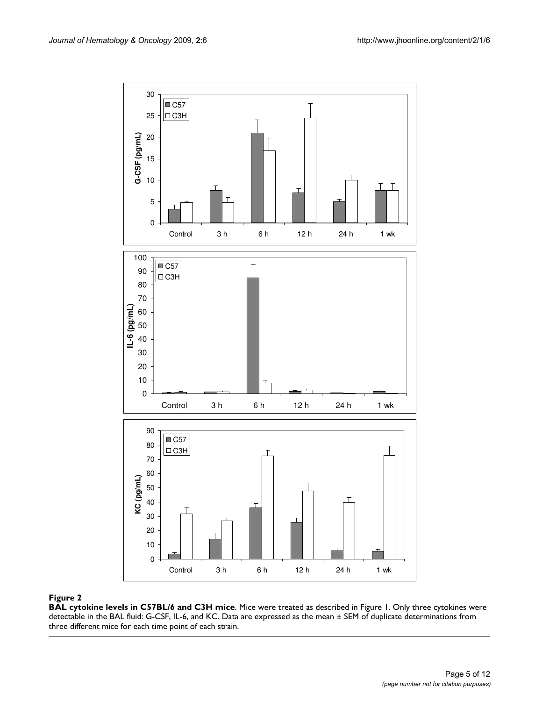<span id="page-4-0"></span>

**BAL cytokine levels in C57BL/6 and C3H mice**. Mice were treated as described in Figure [1](#page-3-0). Only three cytokines were detectable in the BAL fluid: G-CSF, IL-6, and KC. Data are expressed as the mean ± SEM of duplicate determinations from three different mice for each time point of each strain.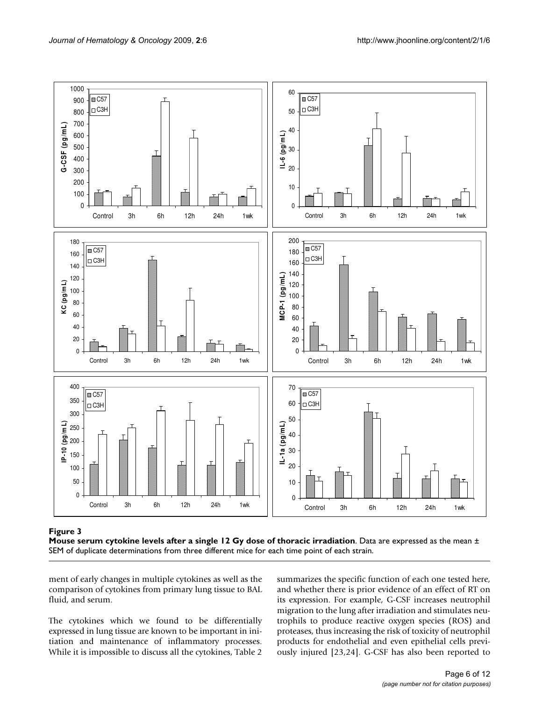<span id="page-5-0"></span>



ment of early changes in multiple cytokines as well as the comparison of cytokines from primary lung tissue to BAL fluid, and serum.

The cytokines which we found to be differentially expressed in lung tissue are known to be important in initiation and maintenance of inflammatory processes. While it is impossible to discuss all the cytokines, Table [2](#page-9-0) summarizes the specific function of each one tested here, and whether there is prior evidence of an effect of RT on its expression. For example, G-CSF increases neutrophil migration to the lung after irradiation and stimulates neutrophils to produce reactive oxygen species (ROS) and proteases, thus increasing the risk of toxicity of neutrophil products for endothelial and even epithelial cells previously injured [\[23](#page-11-16),[24\]](#page-11-17). G-CSF has also been reported to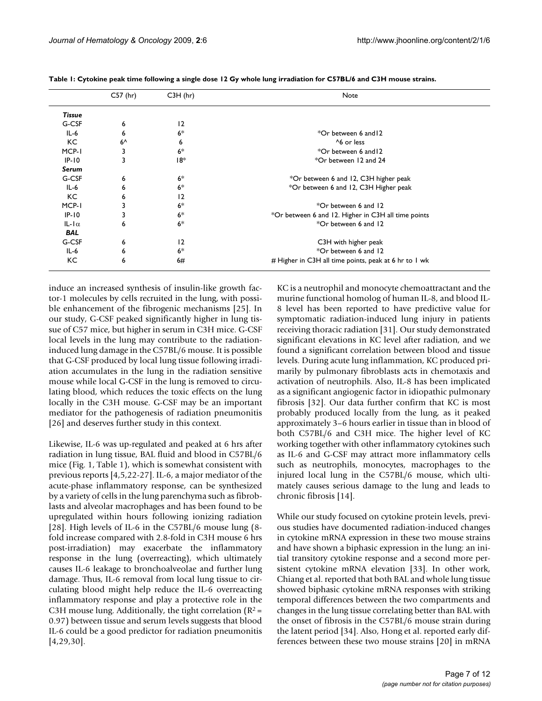|                 | C57 (hr)     | $C3H$ (hr) | Note                                                  |
|-----------------|--------------|------------|-------------------------------------------------------|
| Tissue          |              |            |                                                       |
| G-CSF           | 6            | 12         |                                                       |
| $IL-6$          | 6            | $6*$       | *Or between 6 and 12                                  |
| KC.             | $6^{\wedge}$ | 6          | ^6 or less                                            |
| MCP-I           | 3            | $6*$       | *Or between 6 and 12                                  |
| $IP-10$         | 3            | 18*        | *Or between 12 and 24                                 |
| Serum           |              |            |                                                       |
| G-CSF           | 6            | $6*$       | *Or between 6 and 12, C3H higher peak                 |
| $IL-6$          | 6            | $6*$       | *Or between 6 and 12, C3H Higher peak                 |
| KC.             | 6            | 12         |                                                       |
| MCP-1           | 3            | $6*$       | *Or between 6 and 12                                  |
| $IP-10$         | 3            | $6*$       | *Or between 6 and 12. Higher in C3H all time points   |
| $ L -  \alpha $ | 6            | $6*$       | *Or between 6 and 12                                  |
| <b>BAL</b>      |              |            |                                                       |
| G-CSF           | 6            | 12         | C3H with higher peak                                  |
| $IL-6$          | 6            | $6*$       | *Or between 6 and 12                                  |
| КC              | 6            | 6#         | # Higher in C3H all time points, peak at 6 hr to 1 wk |

<span id="page-6-0"></span>**Table 1: Cytokine peak time following a single dose 12 Gy whole lung irradiation for C57BL/6 and C3H mouse strains.**

induce an increased synthesis of insulin-like growth factor-1 molecules by cells recruited in the lung, with possible enhancement of the fibrogenic mechanisms [[25\]](#page-11-18). In our study, G-CSF peaked significantly higher in lung tissue of C57 mice, but higher in serum in C3H mice. G-CSF local levels in the lung may contribute to the radiationinduced lung damage in the C57BL/6 mouse. It is possible that G-CSF produced by local lung tissue following irradiation accumulates in the lung in the radiation sensitive mouse while local G-CSF in the lung is removed to circulating blood, which reduces the toxic effects on the lung locally in the C3H mouse. G-CSF may be an important mediator for the pathogenesis of radiation pneumonitis [[26](#page-11-19)] and deserves further study in this context.

Likewise, IL-6 was up-regulated and peaked at 6 hrs after radiation in lung tissue, BAL fluid and blood in C57BL/6 mice (Fig. [1,](#page-3-0) Table [1](#page-6-0)), which is somewhat consistent with previous reports [\[4](#page-11-0),[5](#page-11-1),[22-](#page-11-15)[27\]](#page-11-20). IL-6, a major mediator of the acute-phase inflammatory response, can be synthesized by a variety of cells in the lung parenchyma such as fibroblasts and alveolar macrophages and has been found to be upregulated within hours following ionizing radiation [[28](#page-11-21)]. High levels of IL-6 in the C57BL/6 mouse lung (8 fold increase compared with 2.8-fold in C3H mouse 6 hrs post-irradiation) may exacerbate the inflammatory response in the lung (overreacting), which ultimately causes IL-6 leakage to bronchoalveolae and further lung damage. Thus, IL-6 removal from local lung tissue to circulating blood might help reduce the IL-6 overreacting inflammatory response and play a protective role in the C3H mouse lung. Additionally, the tight correlation ( $R^2$  = 0.97) between tissue and serum levels suggests that blood IL-6 could be a good predictor for radiation pneumonitis [[4](#page-11-0)[,29](#page-11-22),[30\]](#page-11-23).

KC is a neutrophil and monocyte chemoattractant and the murine functional homolog of human IL-8, and blood IL-8 level has been reported to have predictive value for symptomatic radiation-induced lung injury in patients receiving thoracic radiation [[31\]](#page-11-24). Our study demonstrated significant elevations in KC level after radiation, and we found a significant correlation between blood and tissue levels. During acute lung inflammation, KC produced primarily by pulmonary fibroblasts acts in chemotaxis and activation of neutrophils. Also, IL-8 has been implicated as a significant angiogenic factor in idiopathic pulmonary fibrosis [\[32](#page-11-25)]. Our data further confirm that KC is most probably produced locally from the lung, as it peaked approximately 3–6 hours earlier in tissue than in blood of both C57BL/6 and C3H mice. The higher level of KC working together with other inflammatory cytokines such as IL-6 and G-CSF may attract more inflammatory cells such as neutrophils, monocytes, macrophages to the injured local lung in the C57BL/6 mouse, which ultimately causes serious damage to the lung and leads to chronic fibrosis [\[14](#page-11-8)].

While our study focused on cytokine protein levels, previous studies have documented radiation-induced changes in cytokine mRNA expression in these two mouse strains and have shown a biphasic expression in the lung: an initial transitory cytokine response and a second more persistent cytokine mRNA elevation [[33](#page-11-26)]. In other work, Chiang et al. reported that both BAL and whole lung tissue showed biphasic cytokine mRNA responses with striking temporal differences between the two compartments and changes in the lung tissue correlating better than BAL with the onset of fibrosis in the C57BL/6 mouse strain during the latent period [\[34](#page-11-27)]. Also, Hong et al. reported early differences between these two mouse strains [[20\]](#page-11-13) in mRNA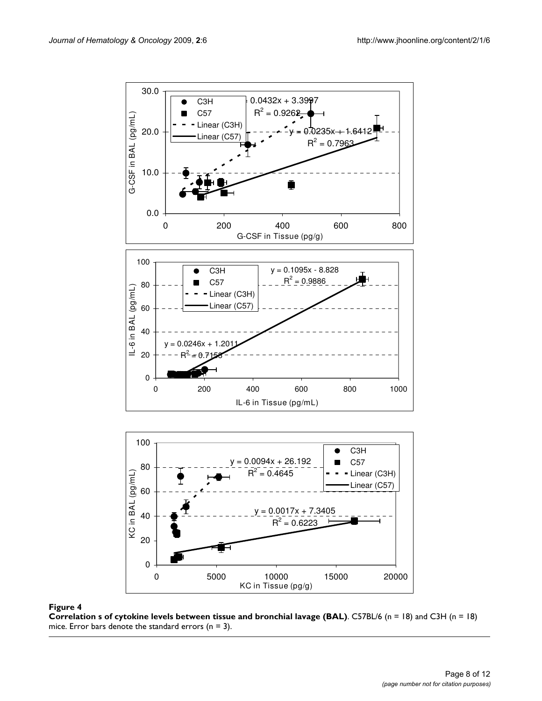<span id="page-7-0"></span>

**Correlation s of cytokine levels between tissue and bronchial lavage (BAL)**. C57BL/6 (n = 18) and C3H (n = 18) mice. Error bars denote the standard errors ( $n = 3$ ).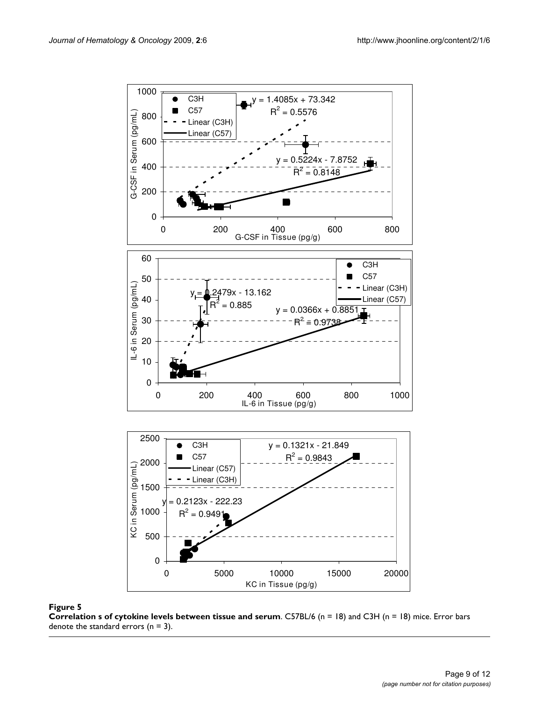<span id="page-8-0"></span>

**Correlation s of cytokine levels between tissue and serum**. C57BL/6 (n = 18) and C3H (n = 18) mice. Error bars denote the standard errors  $(n = 3)$ .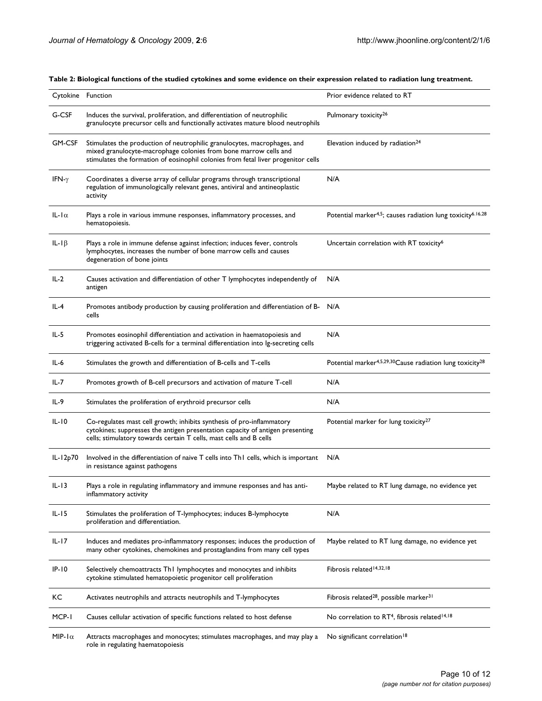| Cytokine Function     |                                                                                                                                                                                                                                   | Prior evidence related to RT                                                        |
|-----------------------|-----------------------------------------------------------------------------------------------------------------------------------------------------------------------------------------------------------------------------------|-------------------------------------------------------------------------------------|
| G-CSF                 | Induces the survival, proliferation, and differentiation of neutrophilic<br>granulocyte precursor cells and functionally activates mature blood neutrophils                                                                       | Pulmonary toxicity <sup>26</sup>                                                    |
| GM-CSF                | Stimulates the production of neutrophilic granulocytes, macrophages, and<br>mixed granulocyte-macrophage colonies from bone marrow cells and<br>stimulates the formation of eosinophil colonies from fetal liver progenitor cells | Elevation induced by radiation <sup>24</sup>                                        |
| IFN- $\gamma$         | Coordinates a diverse array of cellular programs through transcriptional<br>regulation of immunologically relevant genes, antiviral and antineoplastic<br>activity                                                                | N/A                                                                                 |
| IL-I $\alpha$         | Plays a role in various immune responses, inflammatory processes, and<br>hematopoiesis.                                                                                                                                           | Potential marker <sup>4,5</sup> ; causes radiation lung toxicity <sup>6.16,28</sup> |
| IL-I $\beta$          | Plays a role in immune defense against infection; induces fever, controls<br>lymphocytes, increases the number of bone marrow cells and causes<br>degeneration of bone joints                                                     | Uncertain correlation with RT toxicity <sup>6</sup>                                 |
| $IL-2$                | Causes activation and differentiation of other T lymphocytes independently of<br>antigen                                                                                                                                          | N/A                                                                                 |
| IL-4                  | Promotes antibody production by causing proliferation and differentiation of B- N/A<br>cells                                                                                                                                      |                                                                                     |
| $IL-5$                | Promotes eosinophil differentiation and activation in haematopoiesis and<br>triggering activated B-cells for a terminal differentiation into lg-secreting cells                                                                   | N/A                                                                                 |
| IL-6                  | Stimulates the growth and differentiation of B-cells and T-cells                                                                                                                                                                  | Potential marker <sup>4,5,29,30</sup> Cause radiation lung toxicity <sup>28</sup>   |
|                       |                                                                                                                                                                                                                                   |                                                                                     |
| IL-7                  | Promotes growth of B-cell precursors and activation of mature T-cell                                                                                                                                                              | N/A                                                                                 |
| IL-9                  | Stimulates the proliferation of erythroid precursor cells                                                                                                                                                                         | N/A                                                                                 |
| $IL-IO$               | Co-regulates mast cell growth; inhibits synthesis of pro-inflammatory<br>cytokines; suppresses the antigen presentation capacity of antigen presenting<br>cells; stimulatory towards certain T cells, mast cells and B cells      | Potential marker for lung toxicity <sup>27</sup>                                    |
| IL-12 <sub>p</sub> 70 | Involved in the differentiation of naive T cells into Th1 cells, which is important<br>in resistance against pathogens                                                                                                            | N/A                                                                                 |
| IL-13                 | Plays a role in regulating inflammatory and immune responses and has anti-<br>inflammatory activity                                                                                                                               | Maybe related to RT lung damage, no evidence yet                                    |
| IL-15                 | Stimulates the proliferation of T-lymphocytes; induces B-lymphocyte<br>proliferation and differentiation.                                                                                                                         | N/A                                                                                 |
| $IL-I7$               | Induces and mediates pro-inflammatory responses; induces the production of<br>many other cytokines, chemokines and prostaglandins from many cell types                                                                            | Maybe related to RT lung damage, no evidence yet                                    |
| IP-10                 | Selectively chemoattracts Th1 lymphocytes and monocytes and inhibits<br>cytokine stimulated hematopoietic progenitor cell proliferation                                                                                           | Fibrosis related <sup>14,32,18</sup>                                                |
| KС                    | Activates neutrophils and attracts neutrophils and T-lymphocytes                                                                                                                                                                  | Fibrosis related <sup>28</sup> , possible marker <sup>31</sup>                      |

<span id="page-9-0"></span>**Table 2: Biological functions of the studied cytokines and some evidence on their expression related to radiation lung treatment.**

MIP-1 $\alpha$  Attracts macrophages and monocytes; stimulates macrophages, and may play a No significant correlation<sup>18</sup> role in regulating haematopoiesis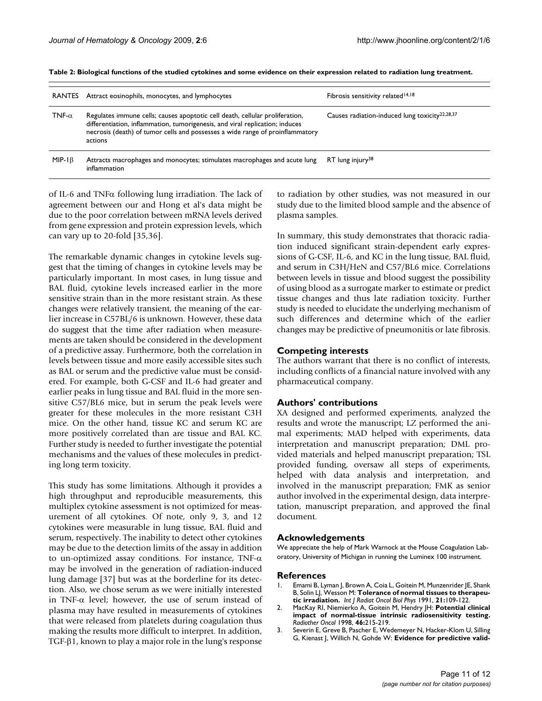| <b>RANTES</b> | Attract eosinophils, monocytes, and lymphocytes                                                                                                                                                                                                          | Fibrosis sensitivity related <sup>14,18</sup>              |
|---------------|----------------------------------------------------------------------------------------------------------------------------------------------------------------------------------------------------------------------------------------------------------|------------------------------------------------------------|
| TNF- $\alpha$ | Regulates immune cells; causes apoptotic cell death, cellular proliferation,<br>differentiation, inflammation, tumorigenesis, and viral replication; induces<br>necrosis (death) of tumor cells and possesses a wide range of proinflammatory<br>actions | Causes radiation-induced lung toxicity <sup>22,28,37</sup> |
| $MIP-I\beta$  | Attracts macrophages and monocytes; stimulates macrophages and acute lung<br>inflammation                                                                                                                                                                | RT lung injury <sup>38</sup>                               |

**Table 2: Biological functions of the studied cytokines and some evidence on their expression related to radiation lung treatment.**

of IL-6 and TNFα following lung irradiation. The lack of agreement between our and Hong et al's data might be due to the poor correlation between mRNA levels derived from gene expression and protein expression levels, which can vary up to 20-fold [\[35](#page-11-28)[,36](#page-11-29)].

The remarkable dynamic changes in cytokine levels suggest that the timing of changes in cytokine levels may be particularly important. In most cases, in lung tissue and BAL fluid, cytokine levels increased earlier in the more sensitive strain than in the more resistant strain. As these changes were relatively transient, the meaning of the earlier increase in C57BL/6 is unknown. However, these data do suggest that the time after radiation when measurements are taken should be considered in the development of a predictive assay. Furthermore, both the correlation in levels between tissue and more easily accessible sites such as BAL or serum and the predictive value must be considered. For example, both G-CSF and IL-6 had greater and earlier peaks in lung tissue and BAL fluid in the more sensitive C57/BL6 mice, but in serum the peak levels were greater for these molecules in the more resistant C3H mice. On the other hand, tissue KC and serum KC are more positively correlated than are tissue and BAL KC. Further study is needed to further investigate the potential mechanisms and the values of these molecules in predicting long term toxicity.

This study has some limitations. Although it provides a high throughput and reproducible measurements, this multiplex cytokine assessment is not optimized for measurement of all cytokines. Of note, only 9, 3, and 12 cytokines were measurable in lung tissue, BAL fluid and serum, respectively. The inability to detect other cytokines may be due to the detection limits of the assay in addition to un-optimized assay conditions. For instance, TNF-α may be involved in the generation of radiation-induced lung damage [\[37](#page-11-30)] but was at the borderline for its detection. Also, we chose serum as we were initially interested in TNF- $\alpha$  level; however, the use of serum instead of plasma may have resulted in measurements of cytokines that were released from platelets during coagulation thus making the results more difficult to interpret. In addition, TGF-β1, known to play a major role in the lung's response to radiation by other studies, was not measured in our study due to the limited blood sample and the absence of plasma samples.

In summary, this study demonstrates that thoracic radiation induced significant strain-dependent early expressions of G-CSF, IL-6, and KC in the lung tissue, BAL fluid, and serum in C3H/HeN and C57/BL6 mice. Correlations between levels in tissue and blood suggest the possibility of using blood as a surrogate marker to estimate or predict tissue changes and thus late radiation toxicity. Further study is needed to elucidate the underlying mechanism of such differences and determine which of the earlier changes may be predictive of pneumonitis or late fibrosis.

#### **Competing interests**

The authors warrant that there is no conflict of interests, including conflicts of a financial nature involved with any pharmaceutical company.

#### **Authors' contributions**

XA designed and performed experiments, analyzed the results and wrote the manuscript; LZ performed the animal experiments; MAD helped with experiments, data interpretation and manuscript preparation; DML provided materials and helped manuscript preparation; TSL provided funding, oversaw all steps of experiments, helped with data analysis and interpretation, and involved in the manuscript preparation; FMK as senior author involved in the experimental design, data interpretation, manuscript preparation, and approved the final document.

#### **Acknowledgements**

We appreciate the help of Mark Warnock at the Mouse Coagulation Laboratory, University of Michigan in running the Luminex 100 instrument.

#### **References**

- <span id="page-10-0"></span>1. Emami B, Lyman J, Brown A, Coia L, Goitein M, Munzenrider JE, Shank B, Solin LJ, Wesson M: **[Tolerance of normal tissues to therapeu](http://www.ncbi.nlm.nih.gov/entrez/query.fcgi?cmd=Retrieve&db=PubMed&dopt=Abstract&list_uids=2032882)[tic irradiation.](http://www.ncbi.nlm.nih.gov/entrez/query.fcgi?cmd=Retrieve&db=PubMed&dopt=Abstract&list_uids=2032882)** *Int J Radiat Oncol Biol Phys* 1991, **21:**109-122.
- 2. MacKay RI, Niemierko A, Goitein M, Hendry JH: **[Potential clinical](http://www.ncbi.nlm.nih.gov/entrez/query.fcgi?cmd=Retrieve&db=PubMed&dopt=Abstract&list_uids=9510050) [impact of normal-tissue intrinsic radiosensitivity testing.](http://www.ncbi.nlm.nih.gov/entrez/query.fcgi?cmd=Retrieve&db=PubMed&dopt=Abstract&list_uids=9510050)** *Radiother Oncol* 1998, **46:**215-219.
- <span id="page-10-1"></span>3. Severin E, Greve B, Pascher E, Wedemeyer N, Hacker-Klom U, Silling G, Kienast J, Willich N, Gohde W: **[Evidence for predictive valid](http://www.ncbi.nlm.nih.gov/entrez/query.fcgi?cmd=Retrieve&db=PubMed&dopt=Abstract&list_uids=16182465)-**